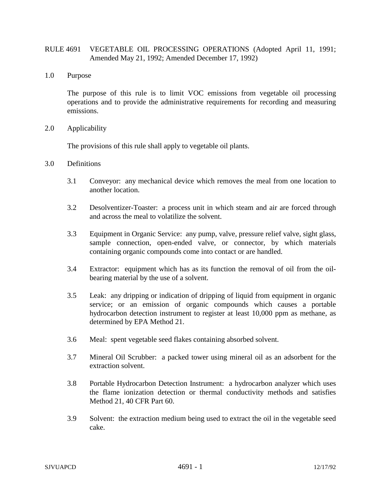## RULE 4691 VEGETABLE OIL PROCESSING OPERATIONS (Adopted April 11, 1991; Amended May 21, 1992; Amended December 17, 1992)

1.0 Purpose

The purpose of this rule is to limit VOC emissions from vegetable oil processing operations and to provide the administrative requirements for recording and measuring emissions.

2.0 Applicability

The provisions of this rule shall apply to vegetable oil plants.

- 3.0 Definitions
	- 3.1 Conveyor: any mechanical device which removes the meal from one location to another location.
	- 3.2 Desolventizer-Toaster: a process unit in which steam and air are forced through and across the meal to volatilize the solvent.
	- 3.3 Equipment in Organic Service: any pump, valve, pressure relief valve, sight glass, sample connection, open-ended valve, or connector, by which materials containing organic compounds come into contact or are handled.
	- 3.4 Extractor: equipment which has as its function the removal of oil from the oilbearing material by the use of a solvent.
	- 3.5 Leak: any dripping or indication of dripping of liquid from equipment in organic service; or an emission of organic compounds which causes a portable hydrocarbon detection instrument to register at least 10,000 ppm as methane, as determined by EPA Method 21.
	- 3.6 Meal: spent vegetable seed flakes containing absorbed solvent.
	- 3.7 Mineral Oil Scrubber: a packed tower using mineral oil as an adsorbent for the extraction solvent.
	- 3.8 Portable Hydrocarbon Detection Instrument: a hydrocarbon analyzer which uses the flame ionization detection or thermal conductivity methods and satisfies Method 21, 40 CFR Part 60.
	- 3.9 Solvent: the extraction medium being used to extract the oil in the vegetable seed cake.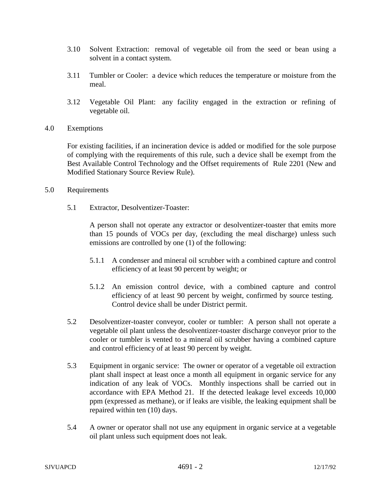- 3.10 Solvent Extraction: removal of vegetable oil from the seed or bean using a solvent in a contact system.
- 3.11 Tumbler or Cooler: a device which reduces the temperature or moisture from the meal.
- 3.12 Vegetable Oil Plant: any facility engaged in the extraction or refining of vegetable oil.
- 4.0 Exemptions

For existing facilities, if an incineration device is added or modified for the sole purpose of complying with the requirements of this rule, such a device shall be exempt from the Best Available Control Technology and the Offset requirements of Rule 2201 (New and Modified Stationary Source Review Rule).

- 5.0 Requirements
	- 5.1 Extractor, Desolventizer-Toaster:

A person shall not operate any extractor or desolventizer-toaster that emits more than 15 pounds of VOCs per day, (excluding the meal discharge) unless such emissions are controlled by one (1) of the following:

- 5.1.1 A condenser and mineral oil scrubber with a combined capture and control efficiency of at least 90 percent by weight; or
- 5.1.2 An emission control device, with a combined capture and control efficiency of at least 90 percent by weight, confirmed by source testing. Control device shall be under District permit.
- 5.2 Desolventizer-toaster conveyor, cooler or tumbler: A person shall not operate a vegetable oil plant unless the desolventizer-toaster discharge conveyor prior to the cooler or tumbler is vented to a mineral oil scrubber having a combined capture and control efficiency of at least 90 percent by weight.
- 5.3 Equipment in organic service: The owner or operator of a vegetable oil extraction plant shall inspect at least once a month all equipment in organic service for any indication of any leak of VOCs. Monthly inspections shall be carried out in accordance with EPA Method 21. If the detected leakage level exceeds 10,000 ppm (expressed as methane), or if leaks are visible, the leaking equipment shall be repaired within ten (10) days.
- 5.4 A owner or operator shall not use any equipment in organic service at a vegetable oil plant unless such equipment does not leak.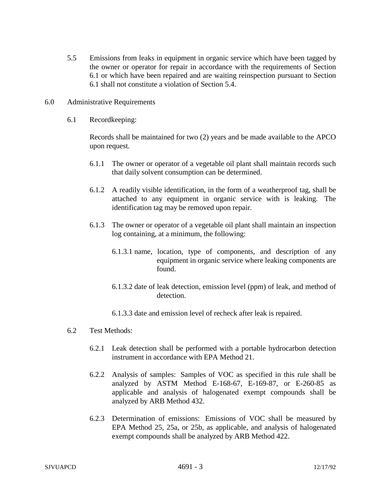5.5 Emissions from leaks in equipment in organic service which have been tagged by the owner or operator for repair in accordance with the requirements of Section 6.1 or which have been repaired and are waiting reinspection pursuant to Section 6.1 shall not constitute a violation of Section 5.4.

## 6.0 Administrative Requirements

6.1 Recordkeeping:

Records shall be maintained for two (2) years and be made available to the APCO upon request.

- 6.1.1 The owner or operator of a vegetable oil plant shall maintain records such that daily solvent consumption can be determined.
- 6.1.2 A readily visible identification, in the form of a weatherproof tag, shall be attached to any equipment in organic service with is leaking. The identification tag may be removed upon repair.
- 6.1.3 The owner or operator of a vegetable oil plant shall maintain an inspection log containing, at a minimum, the following:
	- 6.1.3.1 name, location, type of components, and description of any equipment in organic service where leaking components are found.
	- 6.1.3.2 date of leak detection, emission level (ppm) of leak, and method of detection.
	- 6.1.3.3 date and emission level of recheck after leak is repaired.
- 6.2 Test Methods:
	- 6.2.1 Leak detection shall be performed with a portable hydrocarbon detection instrument in accordance with EPA Method 21.
	- 6.2.2 Analysis of samples: Samples of VOC as specified in this rule shall be analyzed by ASTM Method E-168-67, E-169-87, or E-260-85 as applicable and analysis of halogenated exempt compounds shall be analyzed by ARB Method 432.
	- 6.2.3 Determination of emissions: Emissions of VOC shall be measured by EPA Method 25, 25a, or 25b, as applicable, and analysis of halogenated exempt compounds shall be analyzed by ARB Method 422.